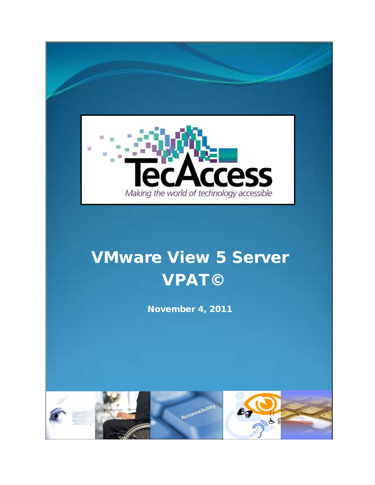

# VMware View 5 Server VPAT©

November 4, 2011

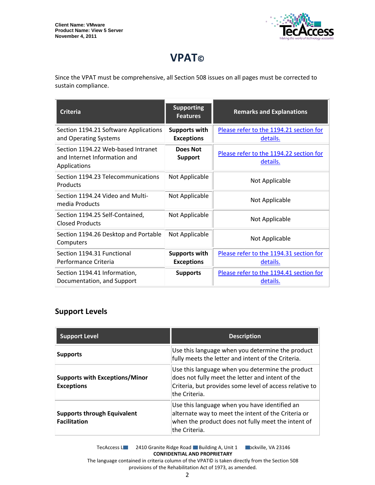

## **VPAT©**

Since the VPAT must be comprehensive, all Section 508 issues on all pages must be corrected to sustain compliance.

| <b>Criteria</b>                                                                    | <b>Supporting</b><br><b>Features</b>      | <b>Remarks and Explanations</b>                     |
|------------------------------------------------------------------------------------|-------------------------------------------|-----------------------------------------------------|
| Section 1194.21 Software Applications<br>and Operating Systems                     | <b>Supports with</b><br><b>Exceptions</b> | Please refer to the 1194.21 section for<br>details. |
| Section 1194.22 Web-based Intranet<br>and Internet Information and<br>Applications | Does Not<br><b>Support</b>                | Please refer to the 1194.22 section for<br>details. |
| Section 1194.23 Telecommunications<br>Products                                     | Not Applicable                            | Not Applicable                                      |
| Section 1194.24 Video and Multi-<br>media Products                                 | Not Applicable                            | Not Applicable                                      |
| Section 1194.25 Self-Contained,<br><b>Closed Products</b>                          | Not Applicable                            | Not Applicable                                      |
| Section 1194.26 Desktop and Portable<br>Computers                                  | Not Applicable                            | Not Applicable                                      |
| Section 1194.31 Functional<br>Performance Criteria                                 | <b>Supports with</b><br><b>Exceptions</b> | Please refer to the 1194.31 section for<br>details. |
| Section 1194.41 Information,<br>Documentation, and Support                         | <b>Supports</b>                           | Please refer to the 1194.41 section for<br>details. |

#### **Support Levels**

| <b>Support Level</b>                                       | <b>Description</b>                                                                                                                                                                |
|------------------------------------------------------------|-----------------------------------------------------------------------------------------------------------------------------------------------------------------------------------|
| <b>Supports</b>                                            | Use this language when you determine the product<br>fully meets the letter and intent of the Criteria.                                                                            |
| <b>Supports with Exceptions/Minor</b><br><b>Exceptions</b> | Use this language when you determine the product<br>does not fully meet the letter and intent of the<br>Criteria, but provides some level of access relative to<br>lthe Criteria. |
| <b>Supports through Equivalent</b><br><b>Facilitation</b>  | Use this language when you have identified an<br>alternate way to meet the intent of the Criteria or<br>when the product does not fully meet the intent of<br>the Criteria.       |

TecAccess LLC 2410 Granite Ridge Road Building A, Unit 1 Dickville, VA 23146 **CONFIDENTIAL AND PROPRIETARY** The language contained in criteria column of the VPAT© is taken directly from the Section 508

provisions of the Rehabilitation Act of 1973, as amended.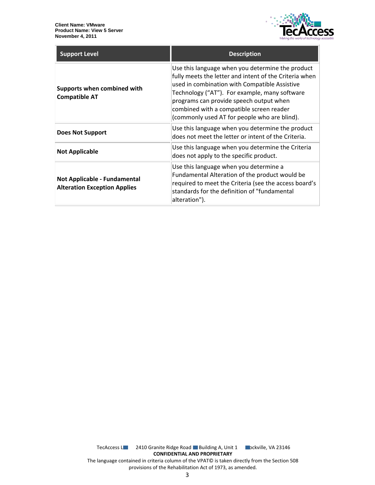

| <b>Support Level</b>                                                | <b>Description</b>                                                                                                                                                                                                                                                                                                                                  |
|---------------------------------------------------------------------|-----------------------------------------------------------------------------------------------------------------------------------------------------------------------------------------------------------------------------------------------------------------------------------------------------------------------------------------------------|
| Supports when combined with<br><b>Compatible AT</b>                 | Use this language when you determine the product<br>fully meets the letter and intent of the Criteria when<br>used in combination with Compatible Assistive<br>Technology ("AT"). For example, many software<br>programs can provide speech output when<br>combined with a compatible screen reader<br>(commonly used AT for people who are blind). |
| Does Not Support                                                    | Use this language when you determine the product<br>does not meet the letter or intent of the Criteria.                                                                                                                                                                                                                                             |
| <b>Not Applicable</b>                                               | Use this language when you determine the Criteria<br>does not apply to the specific product.                                                                                                                                                                                                                                                        |
| Not Applicable - Fundamental<br><b>Alteration Exception Applies</b> | Use this language when you determine a<br>Fundamental Alteration of the product would be<br>required to meet the Criteria (see the access board's<br>standards for the definition of "fundamental<br>alteration").                                                                                                                                  |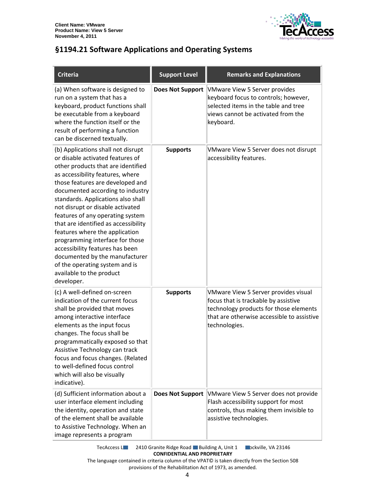

#### <span id="page-3-0"></span>**§1194.21 Software Applications and Operating Systems**

| <b>Criteria</b>                                                                                                                                                                                                                                                                                                                                                                                                                                                                                                                                                                                      | <b>Support Level</b>    | <b>Remarks and Explanations</b>                                                                                                                                                       |
|------------------------------------------------------------------------------------------------------------------------------------------------------------------------------------------------------------------------------------------------------------------------------------------------------------------------------------------------------------------------------------------------------------------------------------------------------------------------------------------------------------------------------------------------------------------------------------------------------|-------------------------|---------------------------------------------------------------------------------------------------------------------------------------------------------------------------------------|
| (a) When software is designed to<br>run on a system that has a<br>keyboard, product functions shall<br>be executable from a keyboard<br>where the function itself or the<br>result of performing a function<br>can be discerned textually.                                                                                                                                                                                                                                                                                                                                                           | <b>Does Not Support</b> | <b>VMware View 5 Server provides</b><br>keyboard focus to controls; however,<br>selected items in the table and tree<br>views cannot be activated from the<br>keyboard.               |
| (b) Applications shall not disrupt<br>or disable activated features of<br>other products that are identified<br>as accessibility features, where<br>those features are developed and<br>documented according to industry<br>standards. Applications also shall<br>not disrupt or disable activated<br>features of any operating system<br>that are identified as accessibility<br>features where the application<br>programming interface for those<br>accessibility features has been<br>documented by the manufacturer<br>of the operating system and is<br>available to the product<br>developer. | <b>Supports</b>         | VMware View 5 Server does not disrupt<br>accessibility features.                                                                                                                      |
| (c) A well-defined on-screen<br>indication of the current focus<br>shall be provided that moves<br>among interactive interface<br>elements as the input focus<br>changes. The focus shall be<br>programmatically exposed so that<br>Assistive Technology can track<br>focus and focus changes. (Related<br>to well-defined focus control<br>which will also be visually<br>indicative).                                                                                                                                                                                                              | <b>Supports</b>         | VMware View 5 Server provides visual<br>focus that is trackable by assistive<br>technology products for those elements<br>that are otherwise accessible to assistive<br>technologies. |
| (d) Sufficient information about a<br>user interface element including<br>the identity, operation and state<br>of the element shall be available<br>to Assistive Technology. When an<br>image represents a program                                                                                                                                                                                                                                                                                                                                                                                   | <b>Does Not Support</b> | VMware View 5 Server does not provide<br>Flash accessibility support for most<br>controls, thus making them invisible to<br>assistive technologies.                                   |

TecAccess L**LC** 2410 Granite Ridge Road Building A, Unit 1 **Rockville, VA 23146 CONFIDENTIAL AND PROPRIETARY**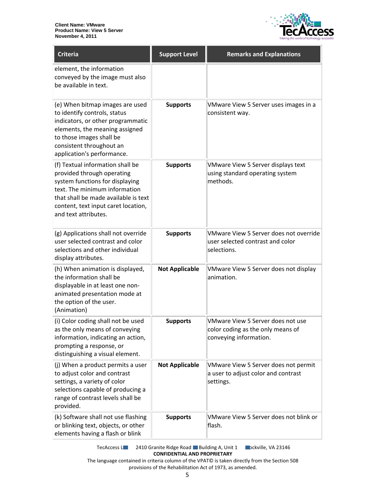

| Criteria                                                                                                                                                                                                                                  | <b>Support Level</b>  | <b>Remarks and Explanations</b>                                                                  |
|-------------------------------------------------------------------------------------------------------------------------------------------------------------------------------------------------------------------------------------------|-----------------------|--------------------------------------------------------------------------------------------------|
| element, the information<br>conveyed by the image must also<br>be available in text.                                                                                                                                                      |                       |                                                                                                  |
| (e) When bitmap images are used<br>to identify controls, status<br>indicators, or other programmatic<br>elements, the meaning assigned<br>to those images shall be<br>consistent throughout an<br>application's performance.              | <b>Supports</b>       | VMware View 5 Server uses images in a<br>consistent way.                                         |
| (f) Textual information shall be<br>provided through operating<br>system functions for displaying<br>text. The minimum information<br>that shall be made available is text<br>content, text input caret location,<br>and text attributes. | <b>Supports</b>       | VMware View 5 Server displays text<br>using standard operating system<br>methods.                |
| (g) Applications shall not override<br>user selected contrast and color<br>selections and other individual<br>display attributes.                                                                                                         | <b>Supports</b>       | <b>VMware View 5 Server does not override</b><br>user selected contrast and color<br>selections. |
| (h) When animation is displayed,<br>the information shall be<br>displayable in at least one non-<br>animated presentation mode at<br>the option of the user.<br>(Animation)                                                               | <b>Not Applicable</b> | VMware View 5 Server does not display<br>animation.                                              |
| (i) Color coding shall not be used<br>as the only means of conveying<br>information, indicating an action,<br>prompting a response, or<br>distinguishing a visual element.                                                                | <b>Supports</b>       | VMware View 5 Server does not use<br>color coding as the only means of<br>conveying information. |
| (j) When a product permits a user<br>to adjust color and contrast<br>settings, a variety of color<br>selections capable of producing a<br>range of contrast levels shall be<br>provided.                                                  | <b>Not Applicable</b> | VMware View 5 Server does not permit<br>a user to adjust color and contrast<br>settings.         |
| (k) Software shall not use flashing<br>or blinking text, objects, or other<br>elements having a flash or blink                                                                                                                            | <b>Supports</b>       | VMware View 5 Server does not blink or<br>flash.                                                 |

TecAccess L**LC** 2410 Granite Ridge Road Building A, Unit 1 **Rockville, VA 23146 CONFIDENTIAL AND PROPRIETARY**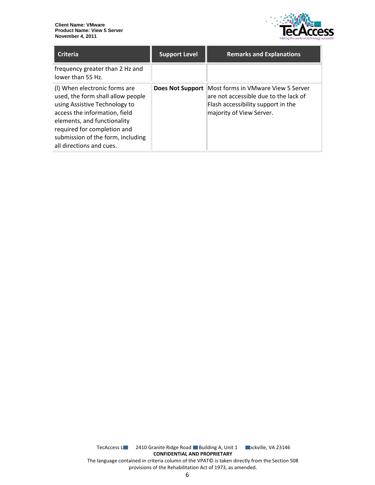

| <b>Criteria</b>                                                                                                                                                                                                                                                     | <b>Support Level</b>    | <b>Remarks and Explanations</b>                                                                                                               |
|---------------------------------------------------------------------------------------------------------------------------------------------------------------------------------------------------------------------------------------------------------------------|-------------------------|-----------------------------------------------------------------------------------------------------------------------------------------------|
| frequency greater than 2 Hz and<br>lower than 55 Hz.                                                                                                                                                                                                                |                         |                                                                                                                                               |
| (I) When electronic forms are<br>used, the form shall allow people<br>using Assistive Technology to<br>access the information, field<br>elements, and functionality<br>required for completion and<br>submission of the form, including<br>all directions and cues. | <b>Does Not Support</b> | Most forms in VMware View 5 Server<br>are not accessible due to the lack of<br>Flash accessibility support in the<br>majority of View Server. |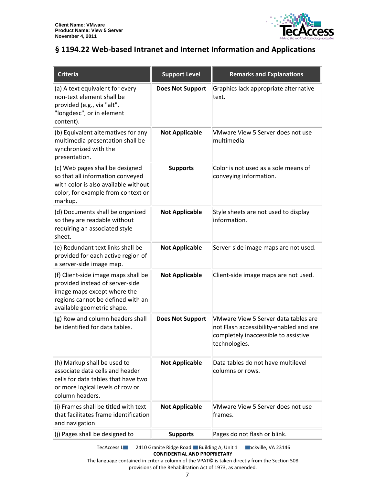

### <span id="page-6-0"></span>**§ 1194.22 Web-based Intranet and Internet Information and Applications**

| <b>Criteria</b>                                                                                                                                                          | <b>Support Level</b>    | <b>Remarks and Explanations</b>                                                                                                          |
|--------------------------------------------------------------------------------------------------------------------------------------------------------------------------|-------------------------|------------------------------------------------------------------------------------------------------------------------------------------|
| (a) A text equivalent for every<br>non-text element shall be<br>provided (e.g., via "alt",<br>"longdesc", or in element<br>content).                                     | <b>Does Not Support</b> | Graphics lack appropriate alternative<br>text.                                                                                           |
| (b) Equivalent alternatives for any<br>multimedia presentation shall be<br>synchronized with the<br>presentation.                                                        | <b>Not Applicable</b>   | VMware View 5 Server does not use<br>multimedia                                                                                          |
| (c) Web pages shall be designed<br>so that all information conveyed<br>with color is also available without<br>color, for example from context or<br>markup.             | <b>Supports</b>         | Color is not used as a sole means of<br>conveying information.                                                                           |
| (d) Documents shall be organized<br>so they are readable without<br>requiring an associated style<br>sheet.                                                              | <b>Not Applicable</b>   | Style sheets are not used to display<br>information.                                                                                     |
| (e) Redundant text links shall be<br>provided for each active region of<br>a server-side image map.                                                                      | <b>Not Applicable</b>   | Server-side image maps are not used.                                                                                                     |
| (f) Client-side image maps shall be<br>provided instead of server-side<br>image maps except where the<br>regions cannot be defined with an<br>available geometric shape. | <b>Not Applicable</b>   | Client-side image maps are not used.                                                                                                     |
| (g) Row and column headers shall<br>be identified for data tables.                                                                                                       | <b>Does Not Support</b> | VMware View 5 Server data tables are<br>not Flash accessibility-enabled and are<br>completely inaccessible to assistive<br>technologies. |
| (h) Markup shall be used to<br>associate data cells and header<br>cells for data tables that have two<br>or more logical levels of row or<br>column headers.             | <b>Not Applicable</b>   | Data tables do not have multilevel<br>columns or rows.                                                                                   |
| (i) Frames shall be titled with text<br>that facilitates frame identification<br>and navigation                                                                          | <b>Not Applicable</b>   | VMware View 5 Server does not use<br>frames.                                                                                             |
| (j) Pages shall be designed to                                                                                                                                           | <b>Supports</b>         | Pages do not flash or blink.                                                                                                             |

TecAccess L**LC** 2410 Granite Ridge Road Building A, Unit 1 **Rockville, VA 23146 CONFIDENTIAL AND PROPRIETARY**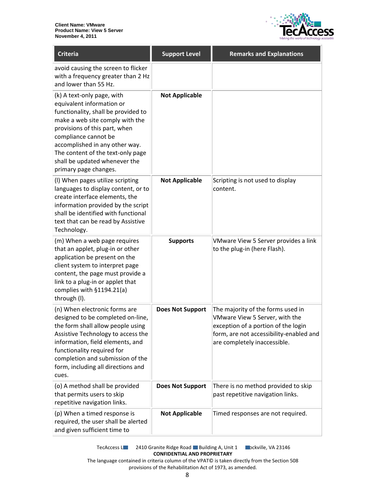

| <b>Criteria</b>                                                                                                                                                                                                                                                                                                             | <b>Support Level</b>    | <b>Remarks and Explanations</b>                                                                                                                                                       |
|-----------------------------------------------------------------------------------------------------------------------------------------------------------------------------------------------------------------------------------------------------------------------------------------------------------------------------|-------------------------|---------------------------------------------------------------------------------------------------------------------------------------------------------------------------------------|
| avoid causing the screen to flicker<br>with a frequency greater than 2 Hz<br>and lower than 55 Hz.                                                                                                                                                                                                                          |                         |                                                                                                                                                                                       |
| (k) A text-only page, with<br>equivalent information or<br>functionality, shall be provided to<br>make a web site comply with the<br>provisions of this part, when<br>compliance cannot be<br>accomplished in any other way.<br>The content of the text-only page<br>shall be updated whenever the<br>primary page changes. | <b>Not Applicable</b>   |                                                                                                                                                                                       |
| (I) When pages utilize scripting<br>languages to display content, or to<br>create interface elements, the<br>information provided by the script<br>shall be identified with functional<br>text that can be read by Assistive<br>Technology.                                                                                 | <b>Not Applicable</b>   | Scripting is not used to display<br>content.                                                                                                                                          |
| (m) When a web page requires<br>that an applet, plug-in or other<br>application be present on the<br>client system to interpret page<br>content, the page must provide a<br>link to a plug-in or applet that<br>complies with §1194.21(a)<br>through (I).                                                                   | <b>Supports</b>         | VMware View 5 Server provides a link<br>to the plug-in (here Flash).                                                                                                                  |
| (n) When electronic forms are<br>designed to be completed on-line,<br>the form shall allow people using<br>Assistive Technology to access the<br>information, field elements, and<br>functionality required for<br>completion and submission of the<br>form, including all directions and<br>cues.                          | <b>Does Not Support</b> | The majority of the forms used in<br>VMware View 5 Server, with the<br>exception of a portion of the login<br>form, are not accessibility-enabled and<br>are completely inaccessible. |
| (o) A method shall be provided<br>that permits users to skip<br>repetitive navigation links.                                                                                                                                                                                                                                | <b>Does Not Support</b> | There is no method provided to skip<br>past repetitive navigation links.                                                                                                              |
| (p) When a timed response is<br>required, the user shall be alerted<br>and given sufficient time to                                                                                                                                                                                                                         | <b>Not Applicable</b>   | Timed responses are not required.                                                                                                                                                     |

TecAccess L**LC** 2410 Granite Ridge Road Building A, Unit 1 **Rockville, VA 23146 CONFIDENTIAL AND PROPRIETARY**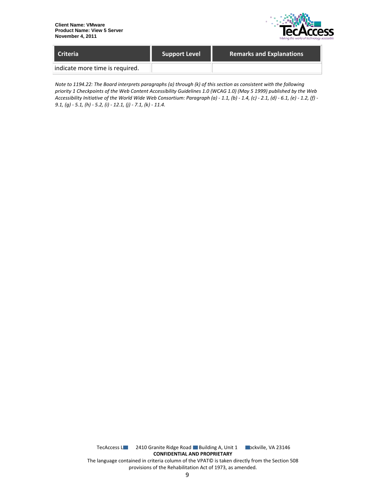

| LCriteria                       | <b>Support Level</b> | <b>Remarks and Explanations</b> |
|---------------------------------|----------------------|---------------------------------|
| indicate more time is required. |                      |                                 |

*Note to 1194.22: The Board interprets paragraphs (a) through (k) of this section as consistent with the following priority 1 Checkpoints of the Web Content Accessibility Guidelines 1.0 (WCAG 1.0) (May 5 1999) published by the Web Accessibility Initiative of the World Wide Web Consortium: Paragraph (a) - 1.1, (b) - 1.4, (c) - 2.1, (d) - 6.1, (e) - 1.2, (f) - 9.1, (g) - 5.1, (h) - 5.2, (i) - 12.1, (j) - 7.1, (k) - 11.4.*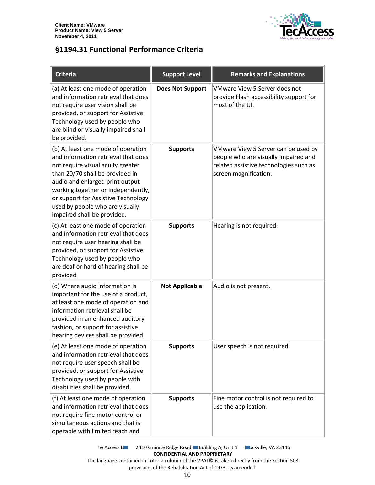

#### <span id="page-9-0"></span>**§1194.31 Functional Performance Criteria**

| <b>Criteria</b>                                                                                                                                                                                                                                                                                                                     | <b>Support Level</b>    | <b>Remarks and Explanations</b>                                                                                                                |
|-------------------------------------------------------------------------------------------------------------------------------------------------------------------------------------------------------------------------------------------------------------------------------------------------------------------------------------|-------------------------|------------------------------------------------------------------------------------------------------------------------------------------------|
| (a) At least one mode of operation<br>and information retrieval that does<br>not require user vision shall be<br>provided, or support for Assistive<br>Technology used by people who<br>are blind or visually impaired shall<br>be provided.                                                                                        | <b>Does Not Support</b> | VMware View 5 Server does not<br>provide Flash accessibility support for<br>most of the UI.                                                    |
| (b) At least one mode of operation<br>and information retrieval that does<br>not require visual acuity greater<br>than 20/70 shall be provided in<br>audio and enlarged print output<br>working together or independently,<br>or support for Assistive Technology<br>used by people who are visually<br>impaired shall be provided. | <b>Supports</b>         | VMware View 5 Server can be used by<br>people who are visually impaired and<br>related assistive technologies such as<br>screen magnification. |
| (c) At least one mode of operation<br>and information retrieval that does<br>not require user hearing shall be<br>provided, or support for Assistive<br>Technology used by people who<br>are deaf or hard of hearing shall be<br>provided                                                                                           | <b>Supports</b>         | Hearing is not required.                                                                                                                       |
| (d) Where audio information is<br>important for the use of a product,<br>at least one mode of operation and<br>information retrieval shall be<br>provided in an enhanced auditory<br>fashion, or support for assistive<br>hearing devices shall be provided.                                                                        | <b>Not Applicable</b>   | Audio is not present.                                                                                                                          |
| (e) At least one mode of operation<br>and information retrieval that does<br>not require user speech shall be<br>provided, or support for Assistive<br>Technology used by people with<br>disabilities shall be provided.                                                                                                            | <b>Supports</b>         | User speech is not required.                                                                                                                   |
| (f) At least one mode of operation<br>and information retrieval that does<br>not require fine motor control or<br>simultaneous actions and that is<br>operable with limited reach and                                                                                                                                               | <b>Supports</b>         | Fine motor control is not required to<br>use the application.                                                                                  |

TecAccess L**LC** 2410 Granite Ridge Road Building A, Unit 1 **Rockville, VA 23146 CONFIDENTIAL AND PROPRIETARY**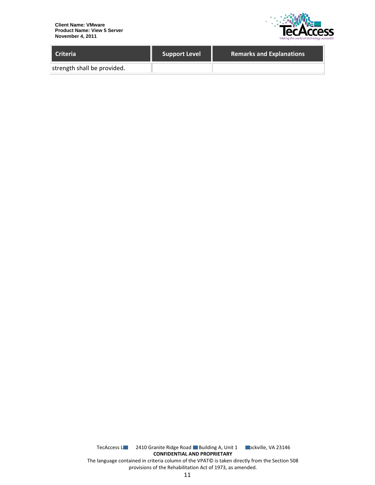

| Criteria                    | <b>Support Level</b> | <b>Remarks and Explanations</b> |
|-----------------------------|----------------------|---------------------------------|
| strength shall be provided. |                      |                                 |